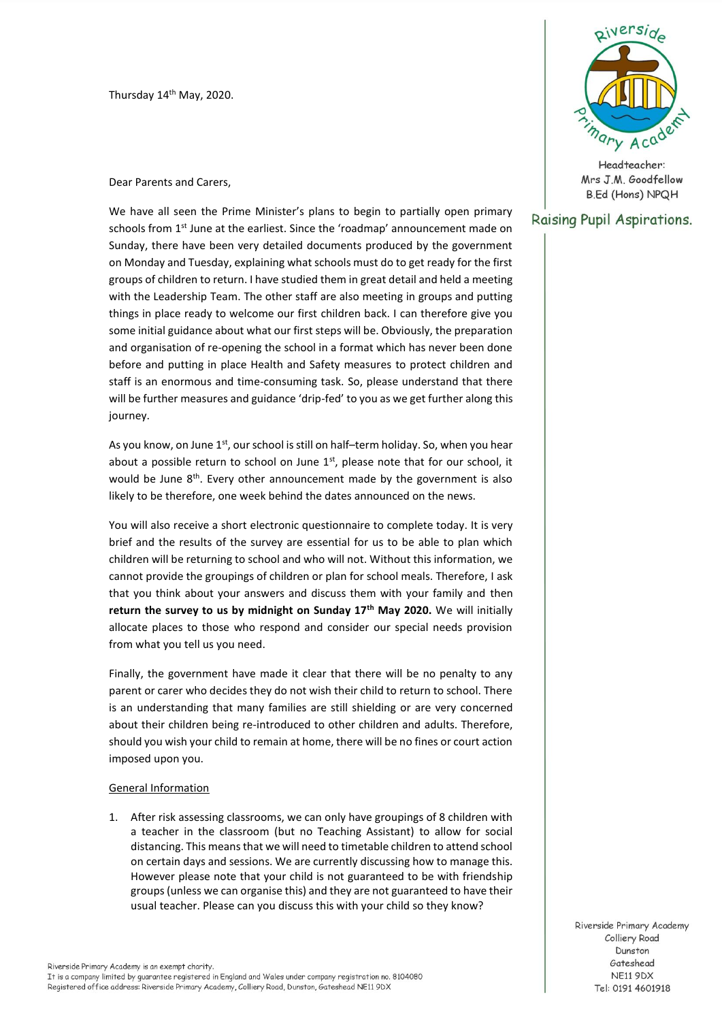Thursday 14<sup>th</sup> May, 2020.

Dear Parents and Carers,

We have all seen the Prime Minister's plans to begin to partially open primary schools from 1<sup>st</sup> June at the earliest. Since the 'roadmap' announcement made on Sunday, there have been very detailed documents produced by the government on Monday and Tuesday, explaining what schools must do to get ready for the first groups of children to return. I have studied them in great detail and held a meeting with the Leadership Team. The other staff are also meeting in groups and putting things in place ready to welcome our first children back. I can therefore give you some initial guidance about what our first steps will be. Obviously, the preparation and organisation of re-opening the school in a format which has never been done before and putting in place Health and Safety measures to protect children and staff is an enormous and time-consuming task. So, please understand that there will be further measures and guidance 'drip-fed' to you as we get further along this journey.

As you know, on June  $1<sup>st</sup>$ , our school is still on half–term holiday. So, when you hear about a possible return to school on June  $1<sup>st</sup>$ , please note that for our school, it would be June  $8<sup>th</sup>$ . Every other announcement made by the government is also likely to be therefore, one week behind the dates announced on the news.

You will also receive a short electronic questionnaire to complete today. It is very brief and the results of the survey are essential for us to be able to plan which children will be returning to school and who will not. Without this information, we cannot provide the groupings of children or plan for school meals. Therefore, I ask that you think about your answers and discuss them with your family and then **return the survey to us by midnight on Sunday 17th May 2020.** We will initially allocate places to those who respond and consider our special needs provision from what you tell us you need.

Finally, the government have made it clear that there will be no penalty to any parent or carer who decides they do not wish their child to return to school. There is an understanding that many families are still shielding or are very concerned about their children being re-introduced to other children and adults. Therefore, should you wish your child to remain at home, there will be no fines or court action imposed upon you.

### General Information

1. After risk assessing classrooms, we can only have groupings of 8 children with a teacher in the classroom (but no Teaching Assistant) to allow for social distancing. This means that we will need to timetable children to attend school on certain days and sessions. We are currently discussing how to manage this. However please note that your child is not guaranteed to be with friendship groups (unless we can organise this) and they are not guaranteed to have their usual teacher. Please can you discuss this with your child so they know?





Headteacher: Mrs J.M. Goodfellow **B.Ed (Hons) NPQH** 

## Raising Pupil Aspirations.

Riverside Primary Academy Colliery Road Dunston Gateshead **NE11 9DX** Tel: 0191 4601918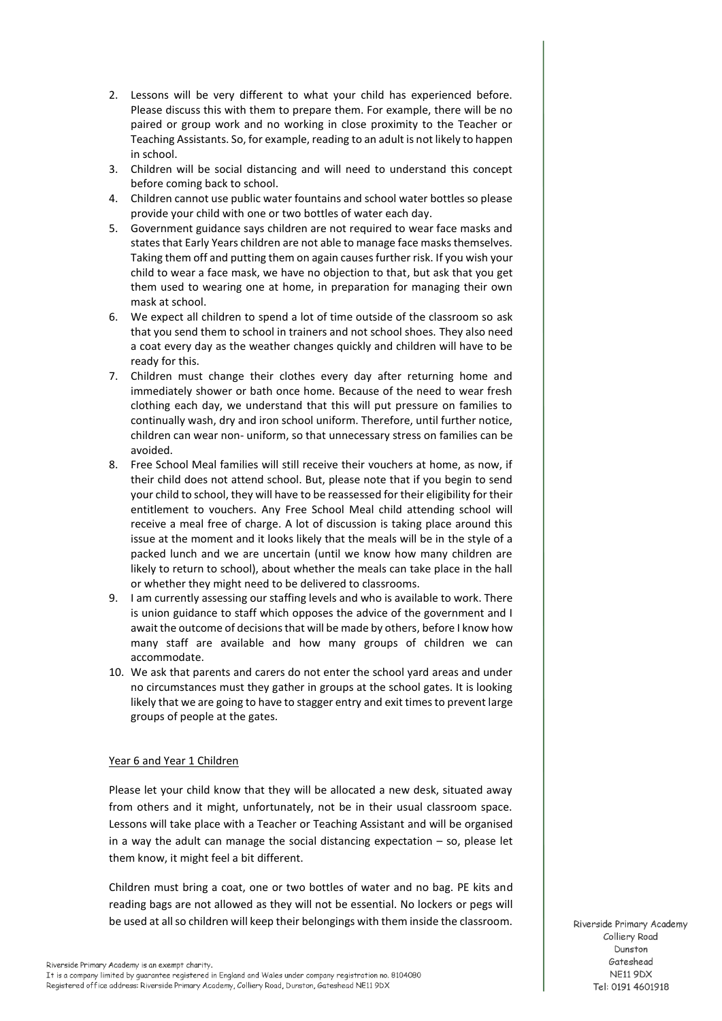- 2. Lessons will be very different to what your child has experienced before. Please discuss this with them to prepare them. For example, there will be no paired or group work and no working in close proximity to the Teacher or Teaching Assistants. So, for example, reading to an adult is not likely to happen in school.
- 3. Children will be social distancing and will need to understand this concept before coming back to school.
- 4. Children cannot use public water fountains and school water bottles so please provide your child with one or two bottles of water each day.
- 5. Government guidance says children are not required to wear face masks and states that Early Years children are not able to manage face masks themselves. Taking them off and putting them on again causes further risk. If you wish your child to wear a face mask, we have no objection to that, but ask that you get them used to wearing one at home, in preparation for managing their own mask at school.
- 6. We expect all children to spend a lot of time outside of the classroom so ask that you send them to school in trainers and not school shoes. They also need a coat every day as the weather changes quickly and children will have to be ready for this.
- 7. Children must change their clothes every day after returning home and immediately shower or bath once home. Because of the need to wear fresh clothing each day, we understand that this will put pressure on families to continually wash, dry and iron school uniform. Therefore, until further notice, children can wear non- uniform, so that unnecessary stress on families can be avoided.
- 8. Free School Meal families will still receive their vouchers at home, as now, if their child does not attend school. But, please note that if you begin to send your child to school, they will have to be reassessed for their eligibility for their entitlement to vouchers. Any Free School Meal child attending school will receive a meal free of charge. A lot of discussion is taking place around this issue at the moment and it looks likely that the meals will be in the style of a packed lunch and we are uncertain (until we know how many children are likely to return to school), about whether the meals can take place in the hall or whether they might need to be delivered to classrooms.
- 9. I am currently assessing our staffing levels and who is available to work. There is union guidance to staff which opposes the advice of the government and I await the outcome of decisions that will be made by others, before I know how many staff are available and how many groups of children we can accommodate.
- 10. We ask that parents and carers do not enter the school yard areas and under no circumstances must they gather in groups at the school gates. It is looking likely that we are going to have to stagger entry and exit times to prevent large groups of people at the gates.

### Year 6 and Year 1 Children

Please let your child know that they will be allocated a new desk, situated away from others and it might, unfortunately, not be in their usual classroom space. Lessons will take place with a Teacher or Teaching Assistant and will be organised in a way the adult can manage the social distancing expectation – so, please let them know, it might feel a bit different.

Children must bring a coat, one or two bottles of water and no bag. PE kits and reading bags are not allowed as they will not be essential. No lockers or pegs will be used at all so children will keep their belongings with them inside the classroom.

Riverside Primary Academy Colliery Road Dunston Gateshead NE11 9DX Tel: 0191 4601918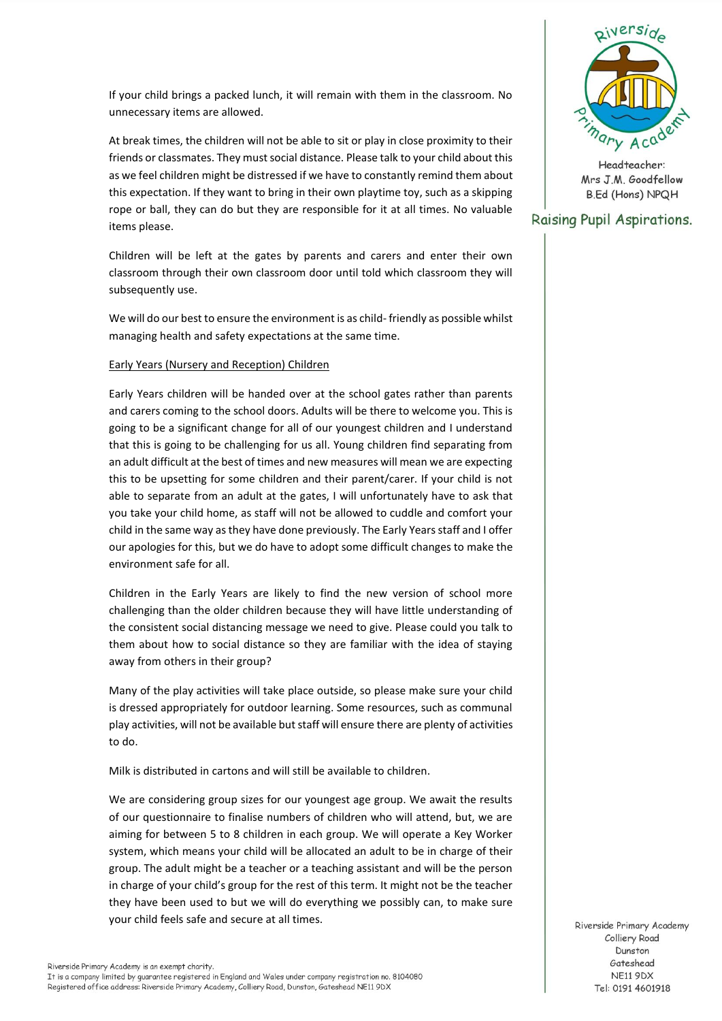If your child brings a packed lunch, it will remain with them in the classroom. No unnecessary items are allowed.

At break times, the children will not be able to sit or play in close proximity to their friends or classmates. They must social distance. Please talk to your child about this as we feel children might be distressed if we have to constantly remind them about this expectation. If they want to bring in their own playtime toy, such as a skipping rope or ball, they can do but they are responsible for it at all times. No valuable items please.

Children will be left at the gates by parents and carers and enter their own classroom through their own classroom door until told which classroom they will subsequently use.

We will do our best to ensure the environment is as child- friendly as possible whilst managing health and safety expectations at the same time.

### Early Years (Nursery and Reception) Children

Early Years children will be handed over at the school gates rather than parents and carers coming to the school doors. Adults will be there to welcome you. This is going to be a significant change for all of our youngest children and I understand that this is going to be challenging for us all. Young children find separating from an adult difficult at the best of times and new measures will mean we are expecting this to be upsetting for some children and their parent/carer. If your child is not able to separate from an adult at the gates, I will unfortunately have to ask that you take your child home, as staff will not be allowed to cuddle and comfort your child in the same way as they have done previously. The Early Years staff and I offer our apologies for this, but we do have to adopt some difficult changes to make the environment safe for all.

Children in the Early Years are likely to find the new version of school more challenging than the older children because they will have little understanding of the consistent social distancing message we need to give. Please could you talk to them about how to social distance so they are familiar with the idea of staying away from others in their group?

Many of the play activities will take place outside, so please make sure your child is dressed appropriately for outdoor learning. Some resources, such as communal play activities, will not be available but staff will ensure there are plenty of activities to do.

Milk is distributed in cartons and will still be available to children.

We are considering group sizes for our youngest age group. We await the results of our questionnaire to finalise numbers of children who will attend, but, we are aiming for between 5 to 8 children in each group. We will operate a Key Worker system, which means your child will be allocated an adult to be in charge of their group. The adult might be a teacher or a teaching assistant and will be the person in charge of your child's group for the rest of this term. It might not be the teacher they have been used to but we will do everything we possibly can, to make sure your child feels safe and secure at all times.



Headteacher: Mrs J.M. Goodfellow **B.Ed (Hons) NPQH** 

# Raising Pupil Aspirations.

Riverside Primary Academy Colliery Road Dunston Gateshead **NE11 9DX** Tel: 0191 4601918